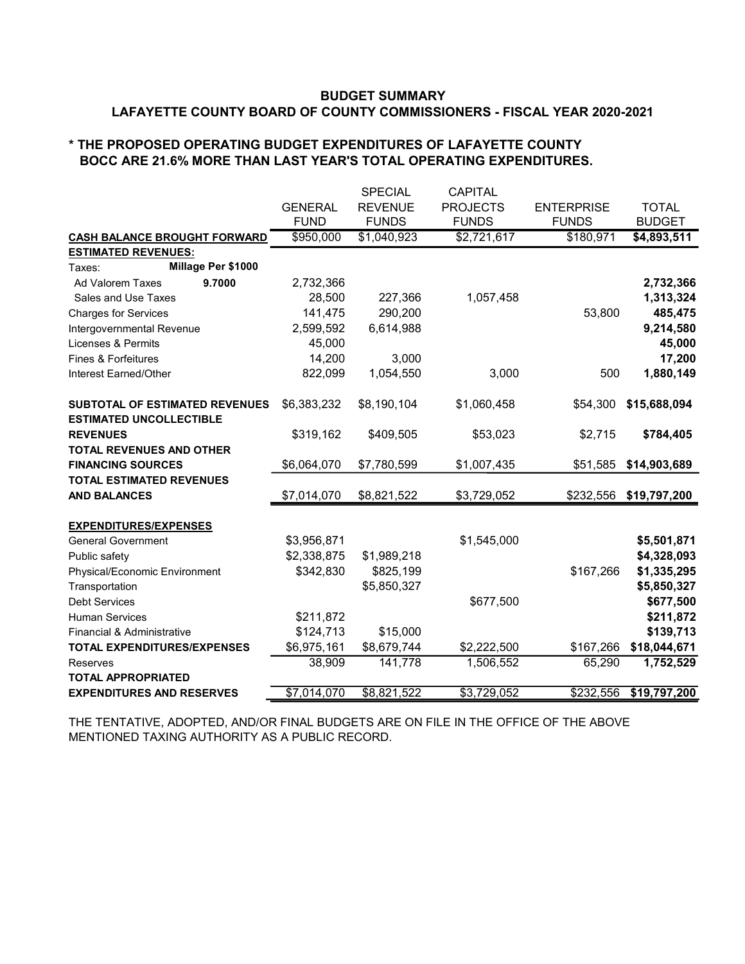#### BUDGET SUMMARY LAFAYETTE COUNTY BOARD OF COUNTY COMMISSIONERS - FISCAL YEAR 2020-2021

#### \* THE PROPOSED OPERATING BUDGET EXPENDITURES OF LAFAYETTE COUNTY BOCC ARE 21.6% MORE THAN LAST YEAR'S TOTAL OPERATING EXPENDITURES.

|                                       |                | <b>SPECIAL</b> | <b>CAPITAL</b>  |                   |               |
|---------------------------------------|----------------|----------------|-----------------|-------------------|---------------|
|                                       | <b>GENERAL</b> | <b>REVENUE</b> | <b>PROJECTS</b> | <b>ENTERPRISE</b> | <b>TOTAL</b>  |
|                                       | <b>FUND</b>    | <b>FUNDS</b>   | <b>FUNDS</b>    | <b>FUNDS</b>      | <b>BUDGET</b> |
| <b>CASH BALANCE BROUGHT FORWARD</b>   | \$950,000      | \$1,040,923    | \$2,721,617     | \$180,971         | \$4,893,511   |
| <b>ESTIMATED REVENUES:</b>            |                |                |                 |                   |               |
| Millage Per \$1000<br>Taxes:          |                |                |                 |                   |               |
| 9.7000<br>Ad Valorem Taxes            | 2,732,366      |                |                 |                   | 2,732,366     |
| Sales and Use Taxes                   | 28,500         | 227,366        | 1,057,458       |                   | 1,313,324     |
| <b>Charges for Services</b>           | 141,475        | 290,200        |                 | 53,800            | 485,475       |
| Intergovernmental Revenue             | 2,599,592      | 6,614,988      |                 |                   | 9,214,580     |
| Licenses & Permits                    | 45,000         |                |                 |                   | 45,000        |
| Fines & Forfeitures                   | 14,200         | 3,000          |                 |                   | 17,200        |
| Interest Earned/Other                 | 822,099        | 1,054,550      | 3,000           | 500               | 1,880,149     |
| <b>SUBTOTAL OF ESTIMATED REVENUES</b> | \$6,383,232    | \$8,190,104    | \$1,060,458     | \$54,300          | \$15,688,094  |
| <b>ESTIMATED UNCOLLECTIBLE</b>        |                |                |                 |                   |               |
| <b>REVENUES</b>                       | \$319,162      | \$409,505      | \$53,023        | \$2,715           | \$784,405     |
| <b>TOTAL REVENUES AND OTHER</b>       |                |                |                 |                   |               |
| <b>FINANCING SOURCES</b>              | \$6,064,070    | \$7,780,599    | \$1,007,435     | \$51,585          | \$14,903,689  |
| <b>TOTAL ESTIMATED REVENUES</b>       |                |                |                 |                   |               |
| <b>AND BALANCES</b>                   | \$7,014,070    | \$8,821,522    | \$3,729,052     | \$232,556         | \$19,797,200  |
| <b>EXPENDITURES/EXPENSES</b>          |                |                |                 |                   |               |
| <b>General Government</b>             | \$3,956,871    |                | \$1,545,000     |                   | \$5,501,871   |
| Public safety                         | \$2,338,875    | \$1,989,218    |                 |                   | \$4,328,093   |
| Physical/Economic Environment         | \$342,830      | \$825,199      |                 | \$167,266         | \$1,335,295   |
| Transportation                        |                | \$5,850,327    |                 |                   | \$5,850,327   |
| <b>Debt Services</b>                  |                |                | \$677,500       |                   | \$677,500     |
| <b>Human Services</b>                 | \$211,872      |                |                 |                   | \$211,872     |
| Financial & Administrative            | \$124,713      | \$15,000       |                 |                   | \$139,713     |
| <b>TOTAL EXPENDITURES/EXPENSES</b>    | \$6,975,161    | \$8,679,744    | \$2,222,500     | \$167,266         | \$18,044,671  |
| <b>Reserves</b>                       | 38,909         | 141,778        | 1,506,552       | 65,290            | 1,752,529     |
| <b>TOTAL APPROPRIATED</b>             |                |                |                 |                   |               |
| <b>EXPENDITURES AND RESERVES</b>      | \$7,014,070    | \$8,821,522    | \$3,729,052     | \$232,556         | \$19,797,200  |

THE TENTATIVE, ADOPTED, AND/OR FINAL BUDGETS ARE ON FILE IN THE OFFICE OF THE ABOVE MENTIONED TAXING AUTHORITY AS A PUBLIC RECORD.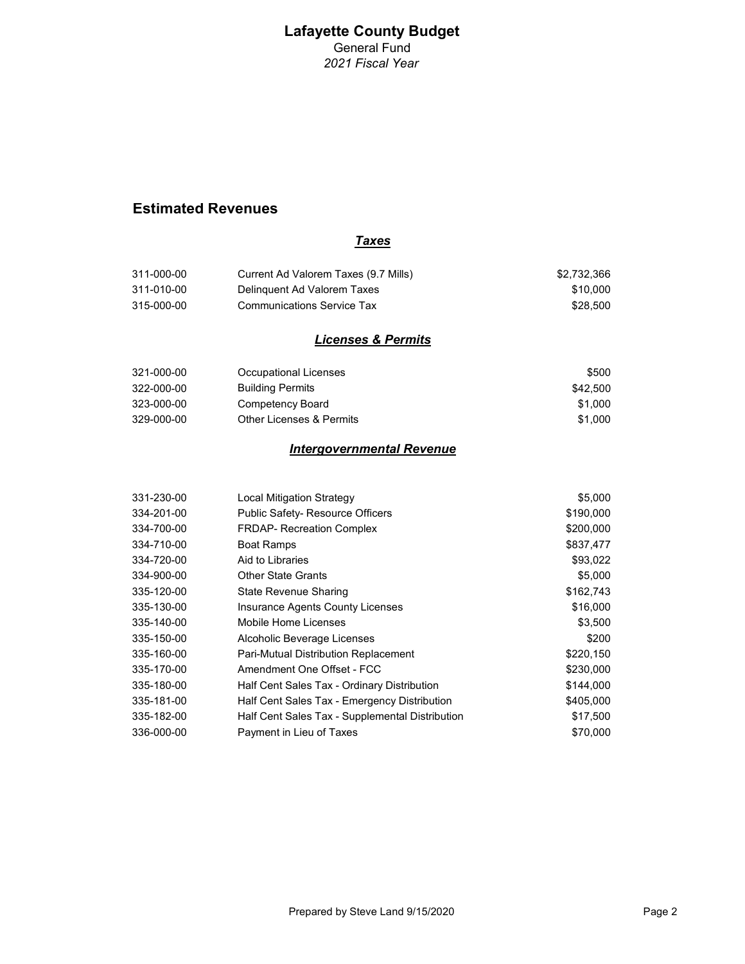General Fund 2021 Fiscal Year

#### Estimated Revenues

#### **Taxes**

| 311-000-00 | Current Ad Valorem Taxes (9.7 Mills) | \$2.732.366 |
|------------|--------------------------------------|-------------|
| 311-010-00 | Delinguent Ad Valorem Taxes          | \$10.000    |
| 315-000-00 | Communications Service Tax           | \$28.500    |

#### Licenses & Permits

| 321-000-00 | Occupational Licenses    | \$500    |
|------------|--------------------------|----------|
| 322-000-00 | Building Permits         | \$42.500 |
| 323-000-00 | Competency Board         | \$1.000  |
| 329-000-00 | Other Licenses & Permits | \$1.000  |

#### Intergovernmental Revenue

| 331-230-00 | <b>Local Mitigation Strategy</b>                | \$5,000   |
|------------|-------------------------------------------------|-----------|
| 334-201-00 | <b>Public Safety- Resource Officers</b>         | \$190,000 |
| 334-700-00 | <b>FRDAP- Recreation Complex</b>                | \$200,000 |
| 334-710-00 | <b>Boat Ramps</b>                               | \$837,477 |
| 334-720-00 | Aid to Libraries                                | \$93,022  |
| 334-900-00 | <b>Other State Grants</b>                       | \$5,000   |
| 335-120-00 | State Revenue Sharing                           | \$162,743 |
| 335-130-00 | Insurance Agents County Licenses                | \$16,000  |
| 335-140-00 | Mobile Home Licenses                            | \$3,500   |
| 335-150-00 | Alcoholic Beverage Licenses                     | \$200     |
| 335-160-00 | Pari-Mutual Distribution Replacement            | \$220,150 |
| 335-170-00 | Amendment One Offset - FCC                      | \$230,000 |
| 335-180-00 | Half Cent Sales Tax - Ordinary Distribution     | \$144,000 |
| 335-181-00 | Half Cent Sales Tax - Emergency Distribution    | \$405,000 |
| 335-182-00 | Half Cent Sales Tax - Supplemental Distribution | \$17,500  |
| 336-000-00 | Payment in Lieu of Taxes                        | \$70,000  |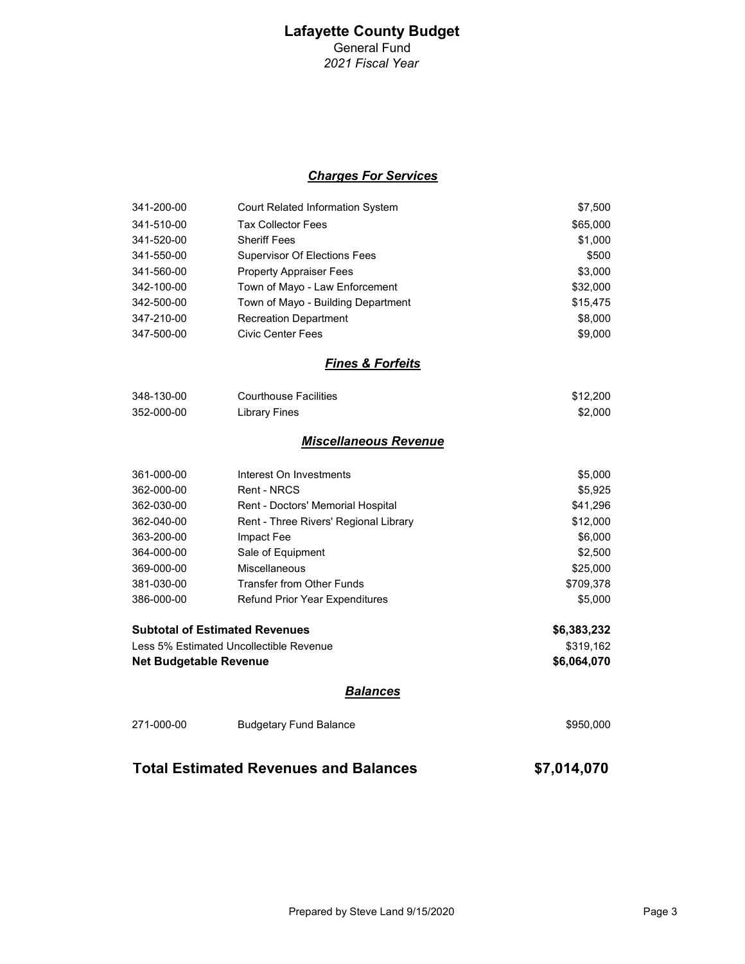#### Charges For Services

| 341-200-00 | <b>Court Related Information System</b> | \$7,500  |
|------------|-----------------------------------------|----------|
| 341-510-00 | <b>Tax Collector Fees</b>               | \$65,000 |
| 341-520-00 | <b>Sheriff Fees</b>                     | \$1,000  |
| 341-550-00 | <b>Supervisor Of Elections Fees</b>     | \$500    |
| 341-560-00 | <b>Property Appraiser Fees</b>          | \$3,000  |
| 342-100-00 | Town of Mayo - Law Enforcement          | \$32,000 |
| 342-500-00 | Town of Mayo - Building Department      | \$15,475 |
| 347-210-00 | <b>Recreation Department</b>            | \$8,000  |
| 347-500-00 | Civic Center Fees                       | \$9,000  |

#### Fines & Forfeits

| 348-130-00 | <b>Courthouse Facilities</b> | \$12.200 |
|------------|------------------------------|----------|
| 352-000-00 | Library Fines                | \$2.000  |

#### Miscellaneous Revenue

| 361-000-00 | Interest On Investments               | \$5,000   |
|------------|---------------------------------------|-----------|
| 362-000-00 | Rent - NRCS                           | \$5,925   |
| 362-030-00 | Rent - Doctors' Memorial Hospital     | \$41,296  |
| 362-040-00 | Rent - Three Rivers' Regional Library | \$12,000  |
| 363-200-00 | Impact Fee                            | \$6,000   |
| 364-000-00 | Sale of Equipment                     | \$2,500   |
| 369-000-00 | Miscellaneous                         | \$25,000  |
| 381-030-00 | Transfer from Other Funds             | \$709,378 |
| 386-000-00 | <b>Refund Prior Year Expenditures</b> | \$5,000   |
|            |                                       |           |

| <b>Subtotal of Estimated Revenues</b>   | \$6,383,232 |
|-----------------------------------------|-------------|
| Less 5% Estimated Uncollectible Revenue | \$319.162   |
| Net Budgetable Revenue                  | \$6.064.070 |

#### **Balances**

| 271-000-00 | Budgetary Fund Balance | \$950,000 |
|------------|------------------------|-----------|
|            |                        |           |

#### Total Estimated Revenues and Balances \$7,014,070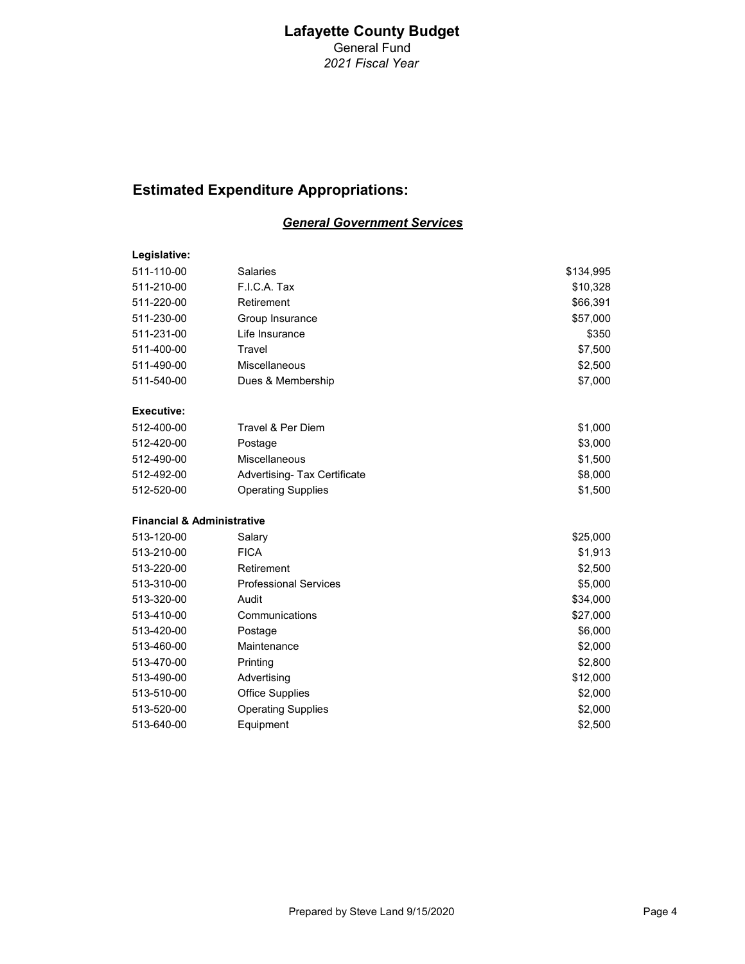# Estimated Expenditure Appropriations:

#### General Government Services

| Legislative:                          |                                     |           |
|---------------------------------------|-------------------------------------|-----------|
| 511-110-00                            | <b>Salaries</b>                     | \$134,995 |
| 511-210-00                            | F.I.C.A. Tax                        | \$10,328  |
| 511-220-00                            | Retirement                          | \$66,391  |
| 511-230-00                            | Group Insurance                     | \$57,000  |
| 511-231-00                            | Life Insurance                      | \$350     |
| 511-400-00                            | Travel                              | \$7,500   |
| 511-490-00                            | Miscellaneous                       | \$2,500   |
| 511-540-00                            | Dues & Membership                   | \$7,000   |
| <b>Executive:</b>                     |                                     |           |
| 512-400-00                            | Travel & Per Diem                   | \$1,000   |
| 512-420-00                            | Postage                             | \$3,000   |
| 512-490-00                            | Miscellaneous                       | \$1,500   |
| 512-492-00                            | <b>Advertising- Tax Certificate</b> | \$8,000   |
| 512-520-00                            | <b>Operating Supplies</b>           | \$1,500   |
| <b>Financial &amp; Administrative</b> |                                     |           |
| 513-120-00                            | Salary                              | \$25,000  |
| 513-210-00                            | <b>FICA</b>                         | \$1,913   |
| 513-220-00                            | Retirement                          | \$2,500   |
| 513-310-00                            | <b>Professional Services</b>        | \$5,000   |
| 513-320-00                            | Audit                               | \$34,000  |
| 513-410-00                            | Communications                      | \$27,000  |
| 513-420-00                            | Postage                             | \$6,000   |
| 513-460-00                            | Maintenance                         | \$2,000   |
| 513-470-00                            | Printing                            | \$2,800   |
| 513-490-00                            | Advertising                         | \$12,000  |
| 513-510-00                            | <b>Office Supplies</b>              | \$2,000   |
| 513-520-00                            | <b>Operating Supplies</b>           | \$2,000   |
| 513-640-00                            | Equipment                           | \$2,500   |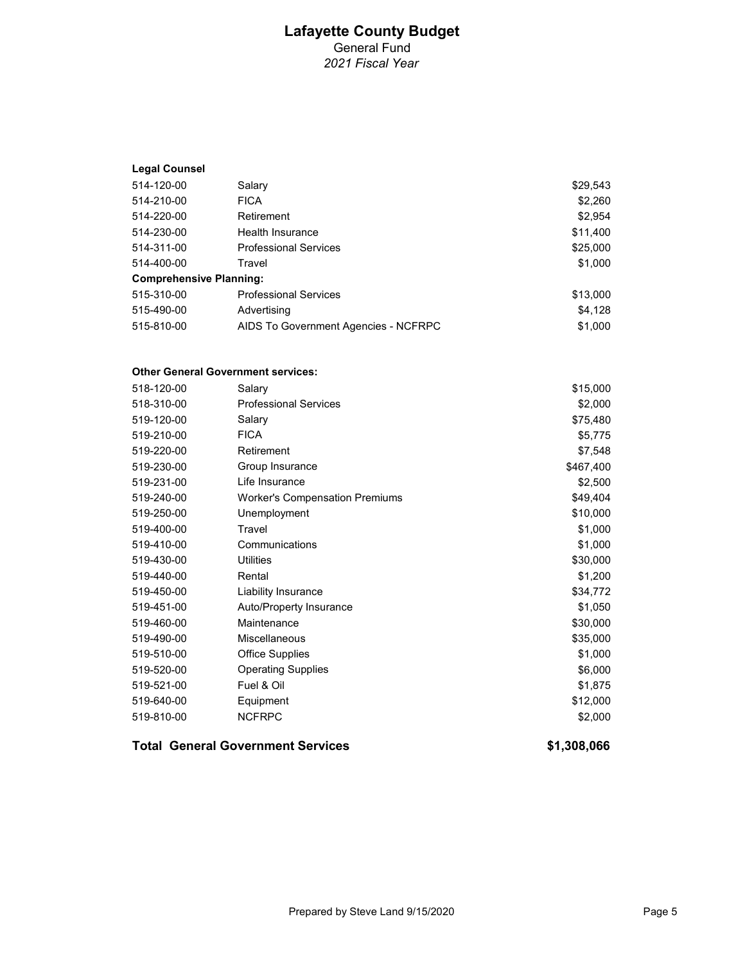#### Legal Counsel

| 514-120-00                     | Salary                               | \$29,543 |
|--------------------------------|--------------------------------------|----------|
| 514-210-00                     | <b>FICA</b>                          | \$2,260  |
| 514-220-00                     | Retirement                           | \$2,954  |
| 514-230-00                     | Health Insurance                     | \$11,400 |
| 514-311-00                     | <b>Professional Services</b>         | \$25,000 |
| 514-400-00                     | Travel                               | \$1,000  |
| <b>Comprehensive Planning:</b> |                                      |          |
| 515-310-00                     | <b>Professional Services</b>         | \$13,000 |
| 515-490-00                     | Advertising                          | \$4,128  |
| 515-810-00                     | AIDS To Government Agencies - NCFRPC | \$1.000  |

#### Other General Government services:

| 518-120-00 | Salary                                | \$15,000  |
|------------|---------------------------------------|-----------|
| 518-310-00 | <b>Professional Services</b>          | \$2,000   |
| 519-120-00 | Salary                                | \$75,480  |
| 519-210-00 | <b>FICA</b>                           | \$5,775   |
| 519-220-00 | Retirement                            | \$7,548   |
| 519-230-00 | Group Insurance                       | \$467,400 |
| 519-231-00 | Life Insurance                        | \$2,500   |
| 519-240-00 | <b>Worker's Compensation Premiums</b> | \$49,404  |
| 519-250-00 | Unemployment                          | \$10,000  |
| 519-400-00 | Travel                                | \$1,000   |
| 519-410-00 | Communications                        | \$1,000   |
| 519-430-00 | <b>Utilities</b>                      | \$30,000  |
| 519-440-00 | Rental                                | \$1,200   |
| 519-450-00 | Liability Insurance                   | \$34,772  |
| 519-451-00 | <b>Auto/Property Insurance</b>        | \$1,050   |
| 519-460-00 | Maintenance                           | \$30,000  |
| 519-490-00 | Miscellaneous                         | \$35,000  |
| 519-510-00 | <b>Office Supplies</b>                | \$1,000   |
| 519-520-00 | <b>Operating Supplies</b>             | \$6,000   |
| 519-521-00 | Fuel & Oil                            | \$1,875   |
| 519-640-00 | Equipment                             | \$12,000  |
| 519-810-00 | <b>NCFRPC</b>                         | \$2,000   |
|            |                                       |           |

#### Total General Government Services **\$1,308,066** \$1,308,066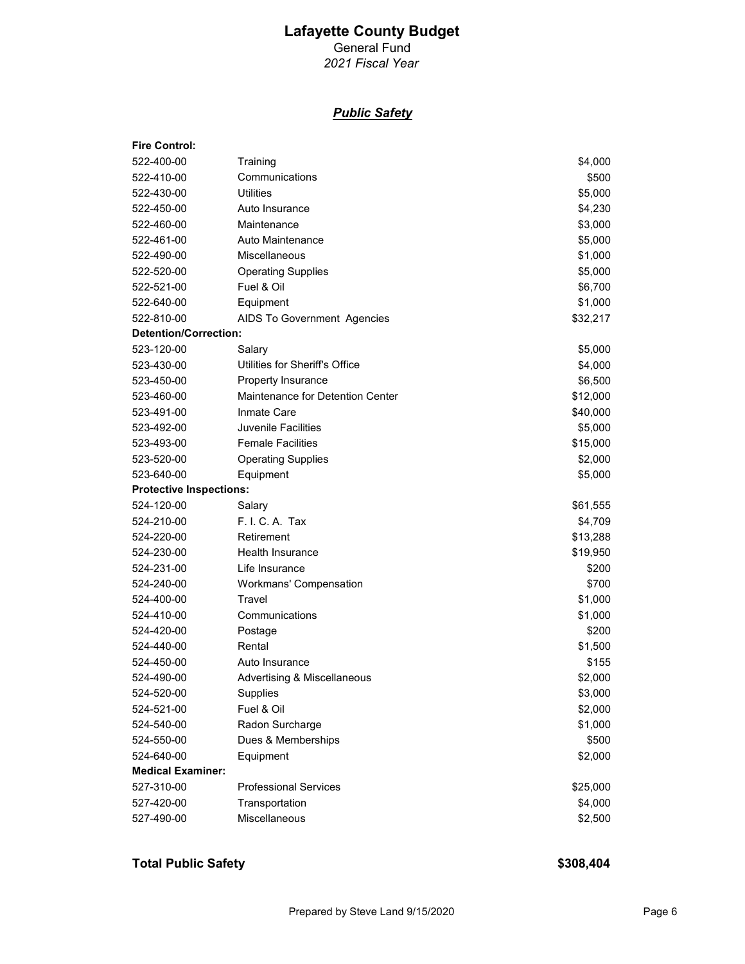General Fund 2021 Fiscal Year

#### **Public Safety**

| <b>Fire Control:</b>           |                                  |                    |
|--------------------------------|----------------------------------|--------------------|
| 522-400-00                     | Training                         | \$4,000            |
| 522-410-00                     | Communications                   | \$500              |
| 522-430-00                     | Utilities                        | \$5,000            |
| 522-450-00                     | Auto Insurance                   | \$4,230            |
| 522-460-00                     | Maintenance                      | \$3,000            |
| 522-461-00                     | Auto Maintenance                 | \$5,000            |
| 522-490-00                     | Miscellaneous                    | \$1,000            |
| 522-520-00                     | <b>Operating Supplies</b>        | \$5,000            |
| 522-521-00                     | Fuel & Oil                       | \$6,700            |
| 522-640-00                     | Equipment                        | \$1,000            |
| 522-810-00                     | AIDS To Government Agencies      | \$32,217           |
| <b>Detention/Correction:</b>   |                                  |                    |
| 523-120-00                     | Salary                           | \$5,000            |
| 523-430-00                     | Utilities for Sheriff's Office   | \$4,000            |
| 523-450-00                     | Property Insurance               | \$6,500            |
| 523-460-00                     | Maintenance for Detention Center | \$12,000           |
| 523-491-00                     | Inmate Care                      | \$40,000           |
| 523-492-00                     | Juvenile Facilities              | \$5,000            |
| 523-493-00                     | <b>Female Facilities</b>         | \$15,000           |
| 523-520-00                     | <b>Operating Supplies</b>        | \$2,000            |
| 523-640-00                     | Equipment                        | \$5,000            |
| <b>Protective Inspections:</b> |                                  |                    |
| 524-120-00                     | Salary                           | \$61,555           |
| 524-210-00                     | F. I. C. A. Tax                  | \$4,709            |
| 524-220-00                     | Retirement                       | \$13,288           |
| 524-230-00                     | <b>Health Insurance</b>          | \$19,950           |
| 524-231-00                     | Life Insurance                   | \$200              |
| 524-240-00                     | Workmans' Compensation           | \$700              |
| 524-400-00                     | Travel                           | \$1,000            |
| 524-410-00                     | Communications                   | \$1,000            |
| 524-420-00                     | Postage                          | \$200              |
| 524-440-00                     | Rental                           | \$1,500            |
| 524-450-00                     | Auto Insurance                   | \$155              |
| 524-490-00                     | Advertising & Miscellaneous      | \$2,000            |
| 524-520-00                     | Supplies                         | \$3,000            |
| 524-521-00                     | Fuel & Oil                       | \$2,000            |
| 524-540-00                     |                                  |                    |
|                                | Radon Surcharge                  | \$1,000            |
| 524-550-00                     | Dues & Memberships               | \$500              |
| 524-640-00                     | Equipment                        | \$2,000            |
| <b>Medical Examiner:</b>       |                                  |                    |
| 527-310-00                     | <b>Professional Services</b>     | \$25,000           |
| 527-420-00<br>527-490-00       | Transportation<br>Miscellaneous  | \$4,000<br>\$2,500 |

Total Public Safety **\$308,404**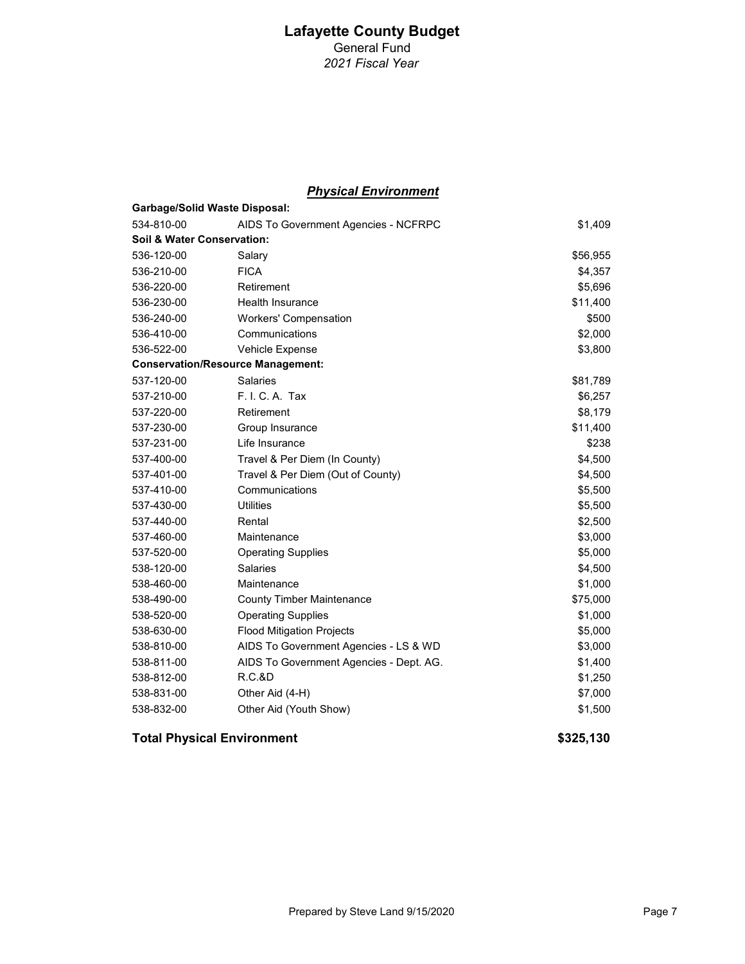#### **Physical Environment**

| <b>Garbage/Solid Waste Disposal:</b>     |                                         |          |
|------------------------------------------|-----------------------------------------|----------|
| 534-810-00                               | AIDS To Government Agencies - NCFRPC    | \$1,409  |
| Soil & Water Conservation:               |                                         |          |
| 536-120-00                               | Salary                                  | \$56,955 |
| 536-210-00                               | <b>FICA</b>                             | \$4,357  |
| 536-220-00                               | Retirement                              | \$5,696  |
| 536-230-00                               | <b>Health Insurance</b>                 | \$11,400 |
| 536-240-00                               | <b>Workers' Compensation</b>            | \$500    |
| 536-410-00                               | Communications                          | \$2,000  |
| 536-522-00                               | Vehicle Expense                         | \$3,800  |
| <b>Conservation/Resource Management:</b> |                                         |          |
| 537-120-00                               | <b>Salaries</b>                         | \$81,789 |
| 537-210-00                               | F. I. C. A. Tax                         | \$6,257  |
| 537-220-00                               | Retirement                              | \$8,179  |
| 537-230-00                               | Group Insurance                         | \$11,400 |
| 537-231-00                               | Life Insurance                          | \$238    |
| 537-400-00                               | Travel & Per Diem (In County)           | \$4,500  |
| 537-401-00                               | Travel & Per Diem (Out of County)       | \$4,500  |
| 537-410-00                               | Communications                          | \$5,500  |
| 537-430-00                               | Utilities                               | \$5,500  |
| 537-440-00                               | Rental                                  | \$2,500  |
| 537-460-00                               | Maintenance                             | \$3,000  |
| 537-520-00                               | <b>Operating Supplies</b>               | \$5,000  |
| 538-120-00                               | Salaries                                | \$4,500  |
| 538-460-00                               | Maintenance                             | \$1,000  |
| 538-490-00                               | <b>County Timber Maintenance</b>        | \$75,000 |
| 538-520-00                               | <b>Operating Supplies</b>               | \$1,000  |
| 538-630-00                               | <b>Flood Mitigation Projects</b>        | \$5,000  |
| 538-810-00                               | AIDS To Government Agencies - LS & WD   | \$3,000  |
| 538-811-00                               | AIDS To Government Agencies - Dept. AG. | \$1,400  |
| 538-812-00                               | <b>R.C.&amp;D</b>                       | \$1,250  |
| 538-831-00                               | Other Aid (4-H)                         | \$7,000  |
| 538-832-00                               | Other Aid (Youth Show)                  | \$1,500  |

#### Total Physical Environment **\$325,130**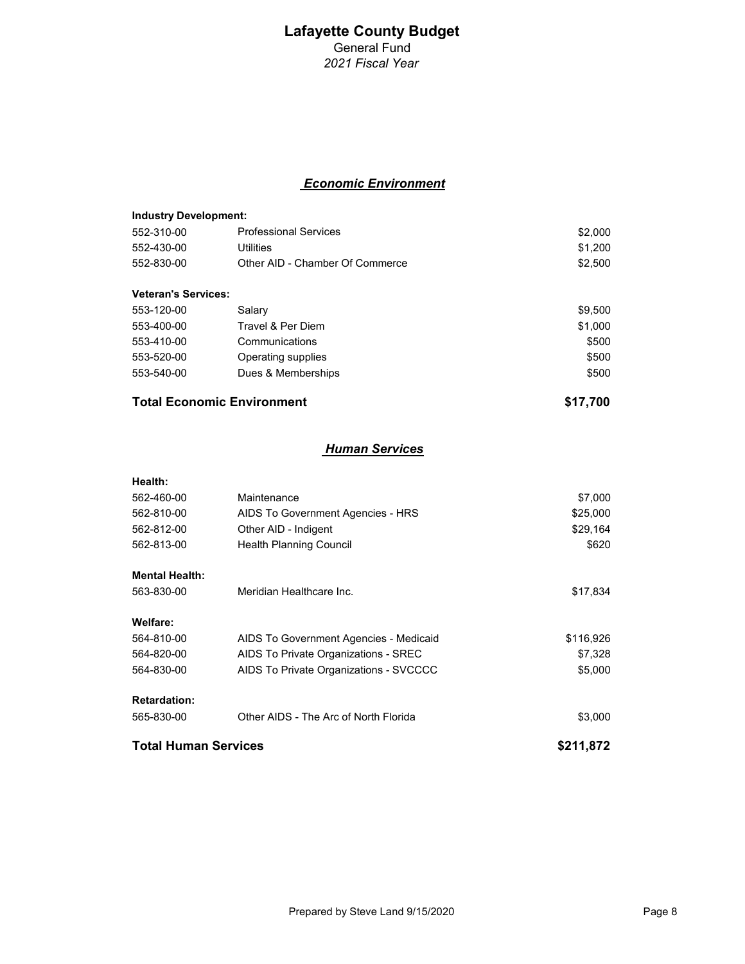#### Lafayette County Budget General Fund

2021 Fiscal Year

#### Economic Environment

| <b>Industry Development:</b> |                                 |         |
|------------------------------|---------------------------------|---------|
| 552-310-00                   | <b>Professional Services</b>    | \$2,000 |
| 552-430-00                   | Utilities                       | \$1,200 |
| 552-830-00                   | Other AID - Chamber Of Commerce | \$2,500 |
| <b>Veteran's Services:</b>   |                                 |         |
| 553-120-00                   | Salary                          | \$9,500 |
| 553-400-00                   | Travel & Per Diem               | \$1,000 |
| 553-410-00                   | Communications                  | \$500   |
| 553-520-00                   | Operating supplies              | \$500   |
| 553-540-00                   | Dues & Memberships              | \$500   |
|                              |                                 |         |

#### Total Economic Environment **\$17,700**

#### **Human Services**

| Health:                     |                                        |           |
|-----------------------------|----------------------------------------|-----------|
| 562-460-00                  | Maintenance                            | \$7,000   |
| 562-810-00                  | AIDS To Government Agencies - HRS      | \$25,000  |
| 562-812-00                  | Other AID - Indigent                   | \$29,164  |
| 562-813-00                  | <b>Health Planning Council</b>         | \$620     |
| <b>Mental Health:</b>       |                                        |           |
| 563-830-00                  | Meridian Healthcare Inc.               | \$17,834  |
| Welfare:                    |                                        |           |
| 564-810-00                  | AIDS To Government Agencies - Medicaid | \$116,926 |
| 564-820-00                  | AIDS To Private Organizations - SREC   | \$7,328   |
| 564-830-00                  | AIDS To Private Organizations - SVCCCC | \$5,000   |
| <b>Retardation:</b>         |                                        |           |
| 565-830-00                  | Other AIDS - The Arc of North Florida  | \$3,000   |
| <b>Total Human Services</b> |                                        | \$211.872 |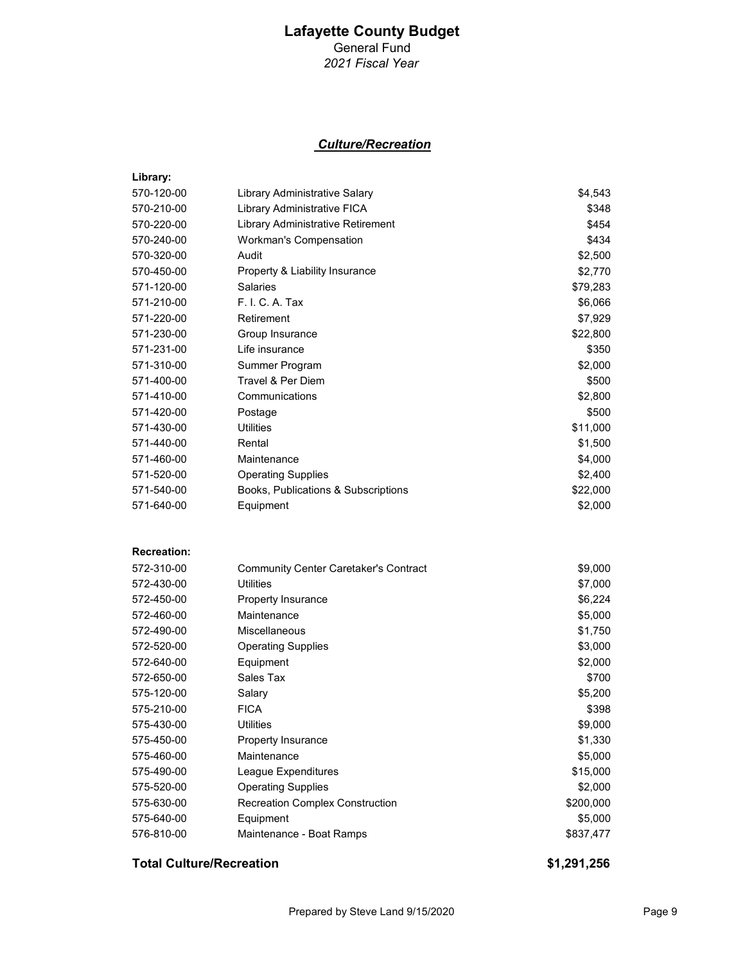General Fund 2021 Fiscal Year

#### Culture/Recreation

| Library:           |                                        |           |
|--------------------|----------------------------------------|-----------|
| 570-120-00         | Library Administrative Salary          | \$4,543   |
| 570-210-00         | Library Administrative FICA            | \$348     |
| 570-220-00         | Library Administrative Retirement      | \$454     |
| 570-240-00         | <b>Workman's Compensation</b>          | \$434     |
| 570-320-00         | Audit                                  | \$2,500   |
| 570-450-00         | Property & Liability Insurance         | \$2,770   |
| 571-120-00         | Salaries                               | \$79,283  |
| 571-210-00         | F. I. C. A. Tax                        | \$6,066   |
| 571-220-00         | Retirement                             | \$7,929   |
| 571-230-00         | Group Insurance                        | \$22,800  |
| 571-231-00         | Life insurance                         | \$350     |
| 571-310-00         | Summer Program                         | \$2,000   |
| 571-400-00         | Travel & Per Diem                      | \$500     |
| 571-410-00         | Communications                         | \$2,800   |
| 571-420-00         | Postage                                | \$500     |
| 571-430-00         | <b>Utilities</b>                       | \$11,000  |
| 571-440-00         | Rental                                 | \$1,500   |
| 571-460-00         | Maintenance                            | \$4,000   |
| 571-520-00         | <b>Operating Supplies</b>              | \$2,400   |
| 571-540-00         | Books, Publications & Subscriptions    | \$22,000  |
| 571-640-00         | Equipment                              | \$2,000   |
|                    |                                        |           |
| <b>Recreation:</b> |                                        |           |
| 572-310-00         | Community Center Caretaker's Contract  | \$9,000   |
| 572-430-00         | Utilities                              | \$7,000   |
| 572-450-00         | Property Insurance                     | \$6,224   |
| 572-460-00         | Maintenance                            | \$5,000   |
| 572-490-00         | <b>Miscellaneous</b>                   | \$1,750   |
| 572-520-00         | <b>Operating Supplies</b>              | \$3,000   |
| 572-640-00         | Equipment                              | \$2,000   |
| 572-650-00         | Sales Tax                              | \$700     |
| 575-120-00         | Salary                                 | \$5,200   |
| 575-210-00         | <b>FICA</b>                            | \$398     |
| 575-430-00         | <b>Utilities</b>                       | \$9,000   |
| 575-450-00         | Property Insurance                     | \$1,330   |
| 575-460-00         | Maintenance                            | \$5,000   |
| 575-490-00         | League Expenditures                    | \$15,000  |
| 575-520-00         | <b>Operating Supplies</b>              | \$2,000   |
| 575-630-00         | <b>Recreation Complex Construction</b> | \$200,000 |
| 575-640-00         | Equipment                              | \$5,000   |
| 576-810-00         | Maintenance - Boat Ramps               | \$837,477 |
|                    |                                        |           |

#### Total Culture/Recreation  $$1,291,256$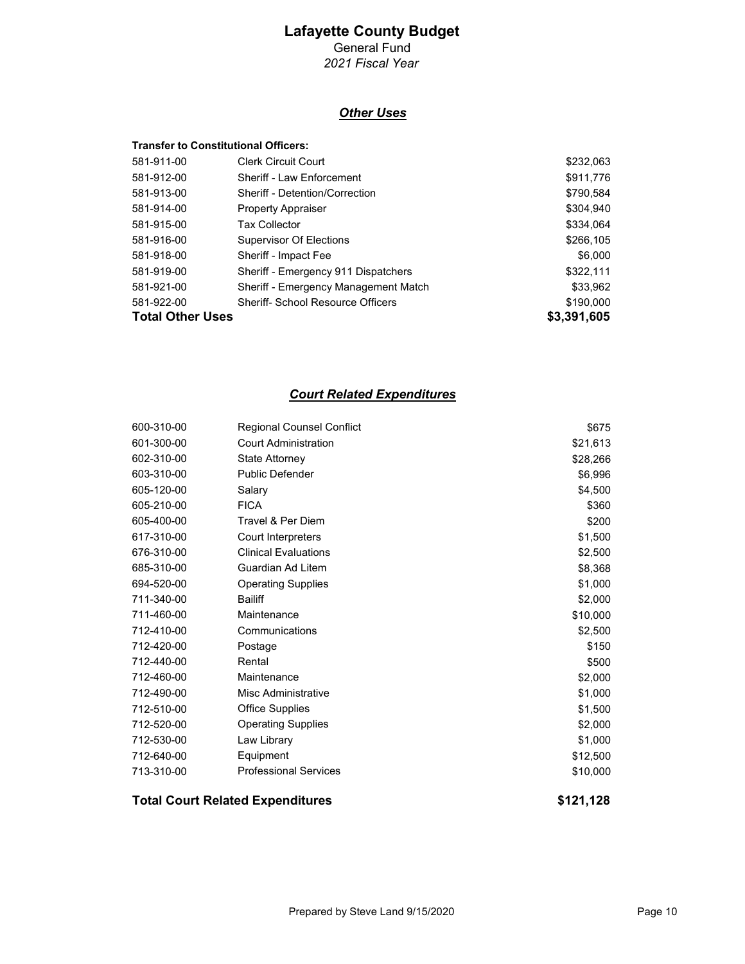### General Fund

2021 Fiscal Year

#### **Other Uses**

|                         | <b>Transfer to Constitutional Officers:</b> |             |
|-------------------------|---------------------------------------------|-------------|
| 581-911-00              | <b>Clerk Circuit Court</b>                  | \$232,063   |
| 581-912-00              | Sheriff - Law Enforcement                   | \$911,776   |
| 581-913-00              | <b>Sheriff - Detention/Correction</b>       | \$790,584   |
| 581-914-00              | <b>Property Appraiser</b>                   | \$304,940   |
| 581-915-00              | <b>Tax Collector</b>                        | \$334,064   |
| 581-916-00              | <b>Supervisor Of Elections</b>              | \$266,105   |
| 581-918-00              | Sheriff - Impact Fee                        | \$6,000     |
| 581-919-00              | Sheriff - Emergency 911 Dispatchers         | \$322,111   |
| 581-921-00              | Sheriff - Emergency Management Match        | \$33,962    |
| 581-922-00              | <b>Sheriff- School Resource Officers</b>    | \$190,000   |
| <b>Total Other Uses</b> |                                             | \$3,391,605 |

#### Court Related Expenditures

| 713-310-00 | <b>Professional Services</b>     | \$10,000 |
|------------|----------------------------------|----------|
| 712-640-00 | Equipment                        | \$12,500 |
| 712-530-00 | Law Library                      | \$1,000  |
| 712-520-00 | <b>Operating Supplies</b>        | \$2,000  |
| 712-510-00 | <b>Office Supplies</b>           | \$1,500  |
| 712-490-00 | Misc Administrative              | \$1,000  |
| 712-460-00 | Maintenance                      | \$2,000  |
| 712-440-00 | Rental                           | \$500    |
| 712-420-00 | Postage                          | \$150    |
| 712-410-00 | Communications                   | \$2,500  |
| 711-460-00 | Maintenance                      | \$10,000 |
| 711-340-00 | <b>Bailiff</b>                   | \$2,000  |
| 694-520-00 | <b>Operating Supplies</b>        | \$1,000  |
| 685-310-00 | Guardian Ad Litem                | \$8,368  |
| 676-310-00 | <b>Clinical Evaluations</b>      | \$2,500  |
| 617-310-00 | Court Interpreters               | \$1,500  |
| 605-400-00 | Travel & Per Diem                | \$200    |
| 605-210-00 | <b>FICA</b>                      | \$360    |
| 605-120-00 | Salary                           | \$4,500  |
| 603-310-00 | <b>Public Defender</b>           | \$6,996  |
| 602-310-00 | State Attorney                   | \$28,266 |
| 601-300-00 | <b>Court Administration</b>      | \$21,613 |
| 600-310-00 | <b>Regional Counsel Conflict</b> | \$675    |
|            |                                  |          |

Total Court Related Expenditures **\$121,128**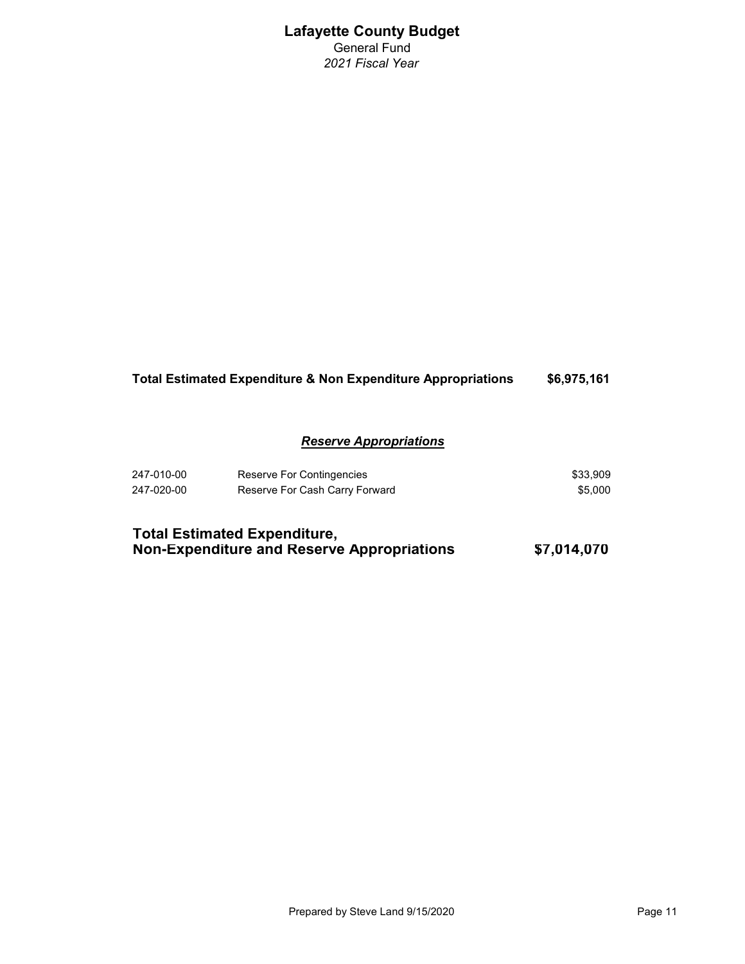#### Total Estimated Expenditure & Non Expenditure Appropriations \$6,975,161

#### Reserve Appropriations

| 247-010-00 | Reserve For Contingencies      | \$33.909 |
|------------|--------------------------------|----------|
| 247-020-00 | Reserve For Cash Carry Forward | \$5.000  |

| <b>Total Estimated Expenditure,</b>        |             |
|--------------------------------------------|-------------|
| Non-Expenditure and Reserve Appropriations | \$7,014,070 |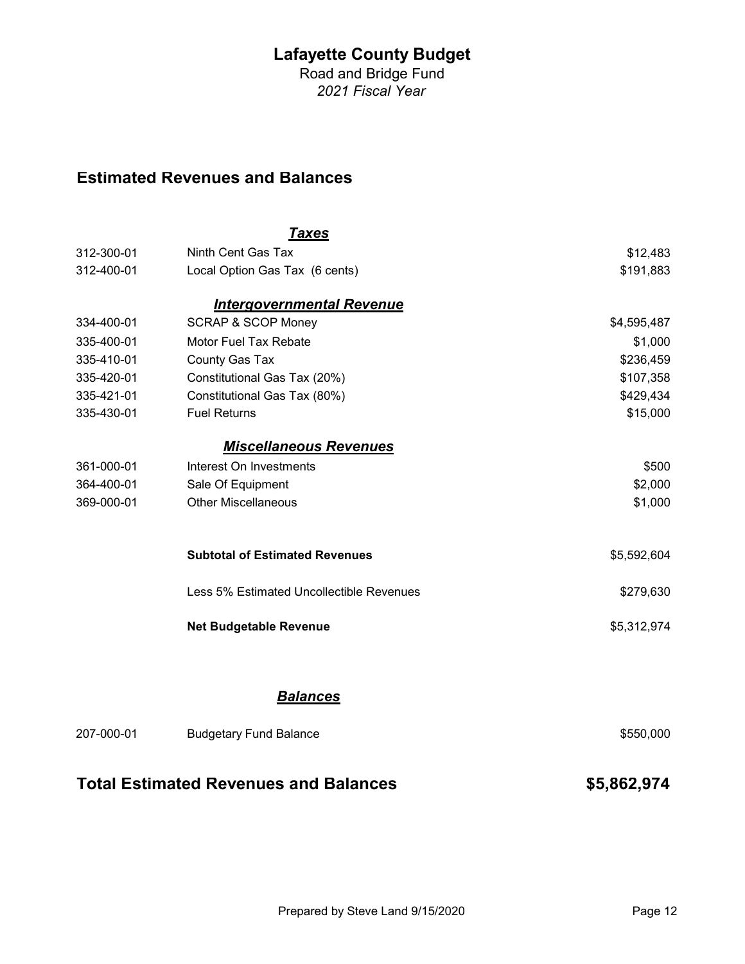Road and Bridge Fund 2021 Fiscal Year

## Estimated Revenues and Balances

|            | <u>Taxes</u>                                 |             |
|------------|----------------------------------------------|-------------|
| 312-300-01 | Ninth Cent Gas Tax                           | \$12,483    |
| 312-400-01 | Local Option Gas Tax (6 cents)               | \$191,883   |
|            | <b>Intergovernmental Revenue</b>             |             |
| 334-400-01 | <b>SCRAP &amp; SCOP Money</b>                | \$4,595,487 |
| 335-400-01 | Motor Fuel Tax Rebate                        | \$1,000     |
| 335-410-01 | County Gas Tax                               | \$236,459   |
| 335-420-01 | Constitutional Gas Tax (20%)                 | \$107,358   |
| 335-421-01 | Constitutional Gas Tax (80%)                 | \$429,434   |
| 335-430-01 | <b>Fuel Returns</b>                          | \$15,000    |
|            | <b>Miscellaneous Revenues</b>                |             |
| 361-000-01 | Interest On Investments                      | \$500       |
| 364-400-01 | Sale Of Equipment                            | \$2,000     |
| 369-000-01 | <b>Other Miscellaneous</b>                   | \$1,000     |
|            | <b>Subtotal of Estimated Revenues</b>        | \$5,592,604 |
|            | Less 5% Estimated Uncollectible Revenues     | \$279,630   |
|            | <b>Net Budgetable Revenue</b>                | \$5,312,974 |
|            |                                              |             |
|            | <b>Balances</b>                              |             |
| 207-000-01 | <b>Budgetary Fund Balance</b>                | \$550,000   |
|            | <b>Total Estimated Revenues and Balances</b> | \$5,862,974 |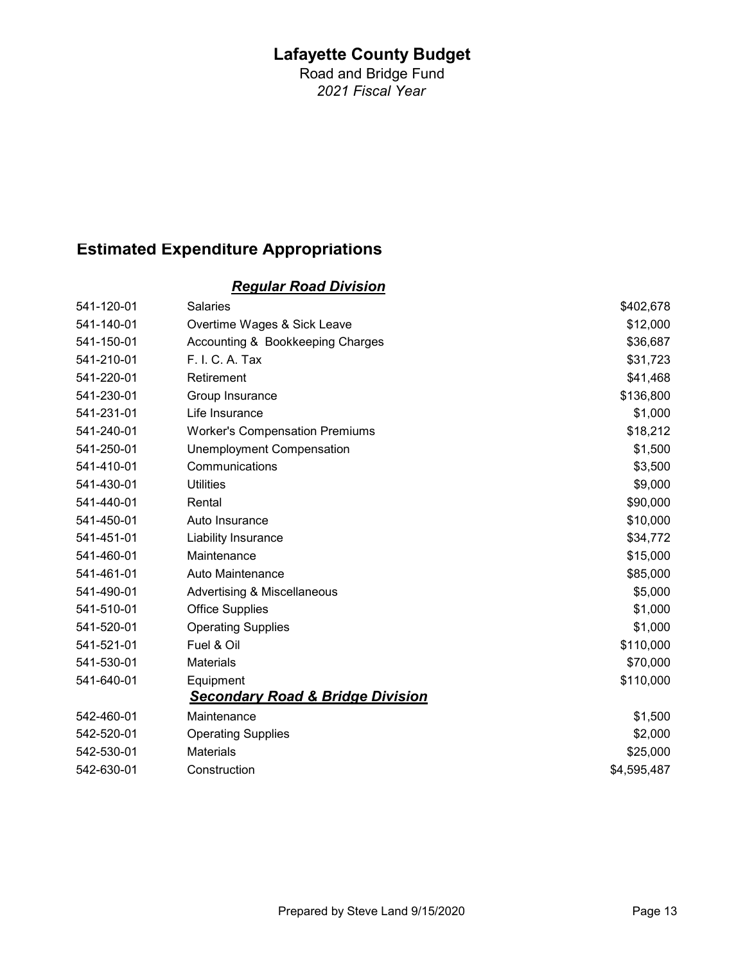Road and Bridge Fund 2021 Fiscal Year

# Estimated Expenditure Appropriations

### Regular Road Division

| 541-120-01 | <b>Salaries</b>                             | \$402,678   |
|------------|---------------------------------------------|-------------|
| 541-140-01 | Overtime Wages & Sick Leave                 | \$12,000    |
| 541-150-01 | Accounting & Bookkeeping Charges            | \$36,687    |
| 541-210-01 | F. I. C. A. Tax                             | \$31,723    |
| 541-220-01 | Retirement                                  | \$41,468    |
| 541-230-01 | Group Insurance                             | \$136,800   |
| 541-231-01 | Life Insurance                              | \$1,000     |
| 541-240-01 | <b>Worker's Compensation Premiums</b>       | \$18,212    |
| 541-250-01 | <b>Unemployment Compensation</b>            | \$1,500     |
| 541-410-01 | Communications                              | \$3,500     |
| 541-430-01 | <b>Utilities</b>                            | \$9,000     |
| 541-440-01 | Rental                                      | \$90,000    |
| 541-450-01 | Auto Insurance                              | \$10,000    |
| 541-451-01 | Liability Insurance                         | \$34,772    |
| 541-460-01 | Maintenance                                 | \$15,000    |
| 541-461-01 | Auto Maintenance                            | \$85,000    |
| 541-490-01 | Advertising & Miscellaneous                 | \$5,000     |
| 541-510-01 | <b>Office Supplies</b>                      | \$1,000     |
| 541-520-01 | <b>Operating Supplies</b>                   | \$1,000     |
| 541-521-01 | Fuel & Oil                                  | \$110,000   |
| 541-530-01 | <b>Materials</b>                            | \$70,000    |
| 541-640-01 | Equipment                                   | \$110,000   |
|            | <b>Secondary Road &amp; Bridge Division</b> |             |
| 542-460-01 | Maintenance                                 | \$1,500     |
| 542-520-01 | <b>Operating Supplies</b>                   | \$2,000     |
| 542-530-01 | <b>Materials</b>                            | \$25,000    |
| 542-630-01 | Construction                                | \$4,595,487 |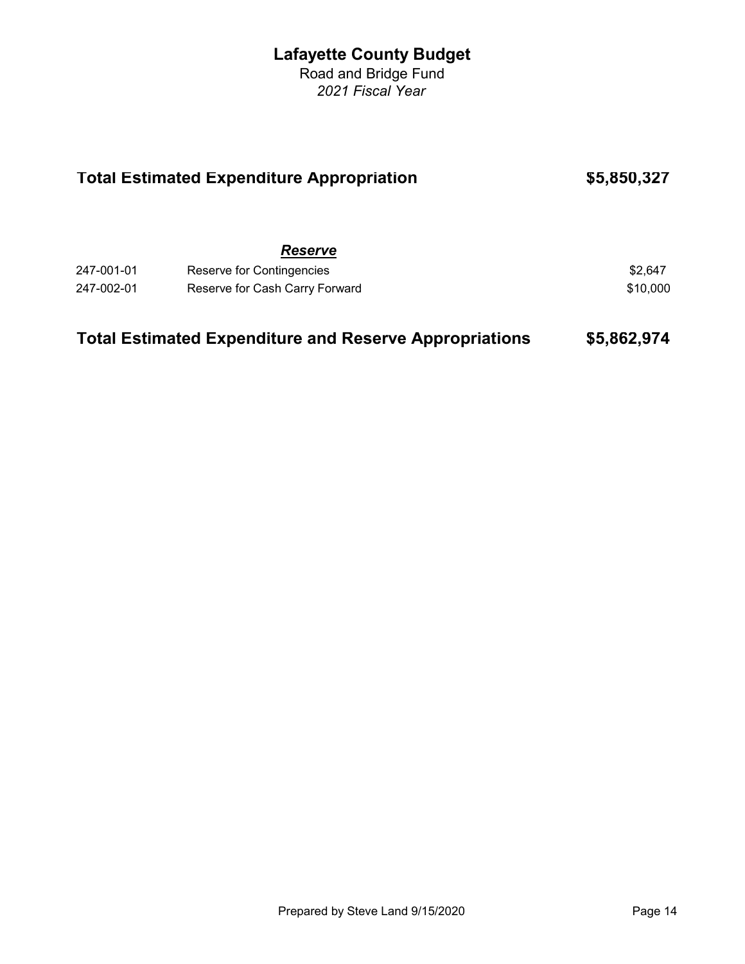Road and Bridge Fund 2021 Fiscal Year

| <b>Total Estimated Expenditure Appropriation</b> |                                                               | \$5,850,327 |
|--------------------------------------------------|---------------------------------------------------------------|-------------|
|                                                  | <b>Reserve</b>                                                |             |
| 247-001-01                                       | Reserve for Contingencies                                     | \$2,647     |
| 247-002-01                                       | Reserve for Cash Carry Forward                                | \$10,000    |
|                                                  | <b>Total Estimated Expenditure and Reserve Appropriations</b> | \$5,862,974 |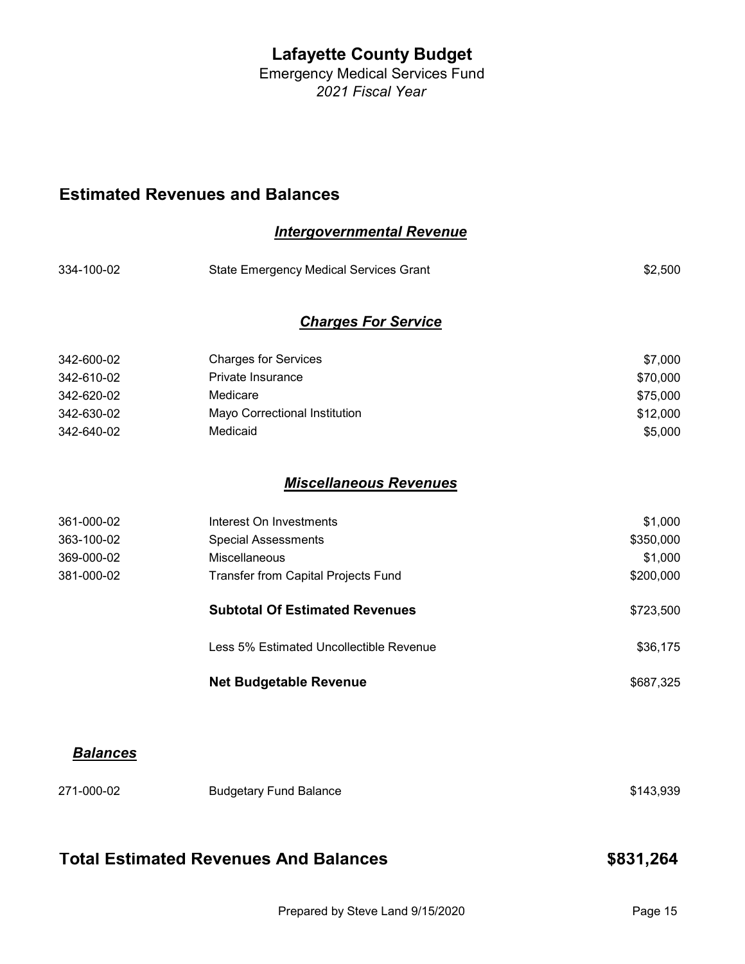Emergency Medical Services Fund 2021 Fiscal Year

Intergovernmental Revenue

### Estimated Revenues and Balances

| 334-100-02 | <b>State Emergency Medical Services Grant</b> | \$2,500   |
|------------|-----------------------------------------------|-----------|
|            | <b>Charges For Service</b>                    |           |
| 342-600-02 | <b>Charges for Services</b>                   | \$7,000   |
| 342-610-02 | Private Insurance                             | \$70,000  |
| 342-620-02 | Medicare                                      | \$75,000  |
| 342-630-02 | Mayo Correctional Institution                 | \$12,000  |
| 342-640-02 | Medicaid                                      | \$5,000   |
|            | <b>Miscellaneous Revenues</b>                 |           |
| 361-000-02 | Interest On Investments                       | \$1,000   |
| 363-100-02 | <b>Special Assessments</b>                    | \$350,000 |
| 369-000-02 | Miscellaneous                                 | \$1,000   |
| 381-000-02 | Transfer from Capital Projects Fund           | \$200,000 |
|            | <b>Subtotal Of Estimated Revenues</b>         | \$723,500 |
|            | Less 5% Estimated Uncollectible Revenue       | \$36,175  |
|            | <b>Net Budgetable Revenue</b>                 | \$687,325 |
|            |                                               |           |

## **Balances**

| 271-000-02 | <b>Budgetary Fund Balance</b> | \$143,939 |
|------------|-------------------------------|-----------|
|            |                               |           |

# Total Estimated Revenues And Balances **\$831,264**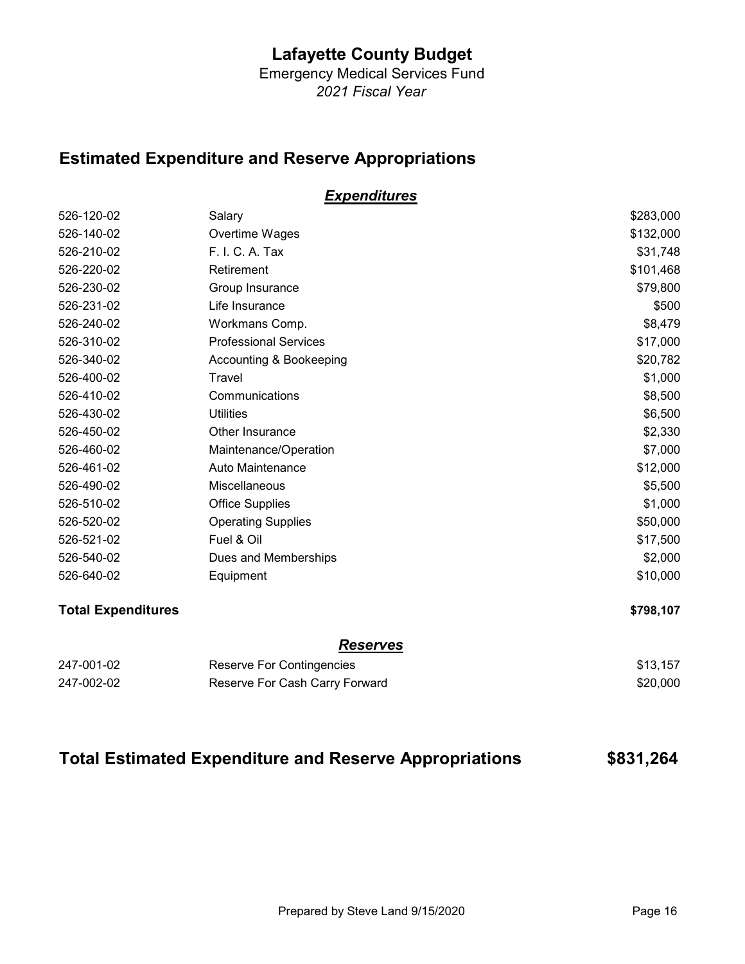Emergency Medical Services Fund 2021 Fiscal Year

## Estimated Expenditure and Reserve Appropriations

### **Expenditures**

| 526-120-02 | Salary                       | \$283,000 |
|------------|------------------------------|-----------|
| 526-140-02 | Overtime Wages               | \$132,000 |
| 526-210-02 | F. I. C. A. Tax              | \$31,748  |
| 526-220-02 | Retirement                   | \$101,468 |
| 526-230-02 | Group Insurance              | \$79,800  |
| 526-231-02 | Life Insurance               | \$500     |
| 526-240-02 | Workmans Comp.               | \$8,479   |
| 526-310-02 | <b>Professional Services</b> | \$17,000  |
| 526-340-02 | Accounting & Bookeeping      | \$20,782  |
| 526-400-02 | Travel                       | \$1,000   |
| 526-410-02 | Communications               | \$8,500   |
| 526-430-02 | <b>Utilities</b>             | \$6,500   |
| 526-450-02 | Other Insurance              | \$2,330   |
| 526-460-02 | Maintenance/Operation        | \$7,000   |
| 526-461-02 | Auto Maintenance             | \$12,000  |
| 526-490-02 | Miscellaneous                | \$5,500   |
| 526-510-02 | <b>Office Supplies</b>       | \$1,000   |
| 526-520-02 | <b>Operating Supplies</b>    | \$50,000  |
| 526-521-02 | Fuel & Oil                   | \$17,500  |
| 526-540-02 | Dues and Memberships         | \$2,000   |
| 526-640-02 | Equipment                    | \$10,000  |
|            |                              |           |

#### Total Expenditures \$798,107

#### **Reserves**

| 247-001-02 | Reserve For Contingencies      | \$13,157 |
|------------|--------------------------------|----------|
| 247-002-02 | Reserve For Cash Carry Forward | \$20,000 |

## Total Estimated Expenditure and Reserve Appropriations \$831,264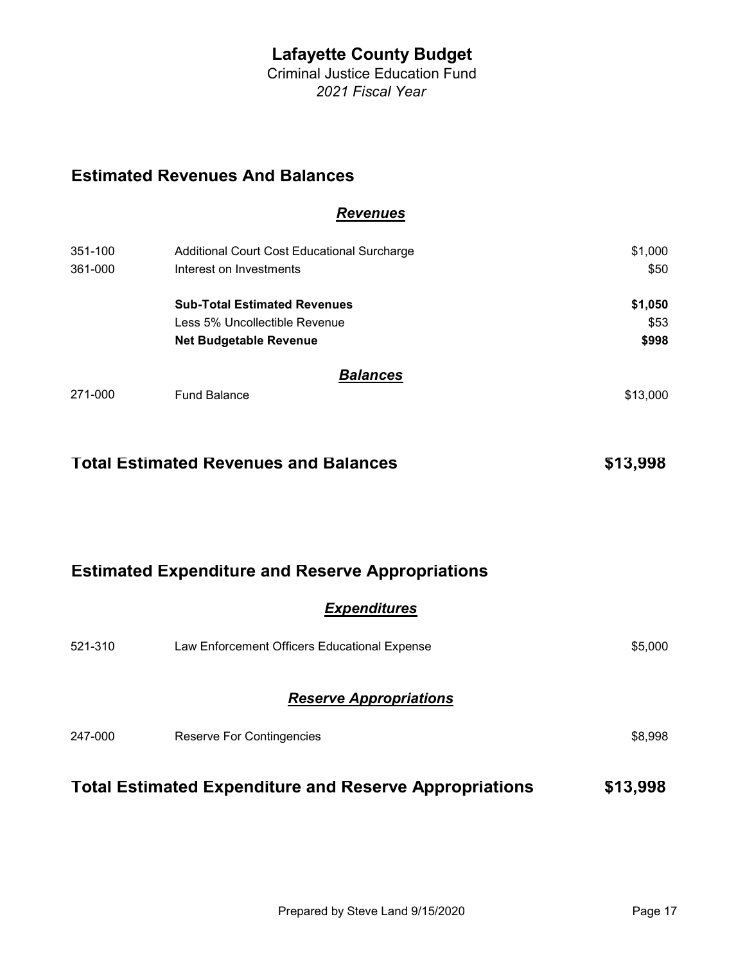Criminal Justice Education Fund 2021 Fiscal Year

## Estimated Revenues And Balances

#### Revenues

| 351-100 | Additional Court Cost Educational Surcharge | \$1,000  |
|---------|---------------------------------------------|----------|
| 361-000 | Interest on Investments                     | \$50     |
|         | <b>Sub-Total Estimated Revenues</b>         | \$1,050  |
|         | Less 5% Uncollectible Revenue               | \$53     |
|         | <b>Net Budgetable Revenue</b>               | \$998    |
|         | <b>Balances</b>                             |          |
| 271-000 | <b>Fund Balance</b>                         | \$13,000 |

## Total Estimated Revenues and Balances **\$13,998**

### Estimated Expenditure and Reserve Appropriations

#### **Expenditures**

| 521-310 | Law Enforcement Officers Educational Expense | \$5,000 |
|---------|----------------------------------------------|---------|
|         | <b>Reserve Appropriations</b>                |         |
| 247-000 | <b>Reserve For Contingencies</b>             | \$8,998 |

# Total Estimated Expenditure and Reserve Appropriations \$13,998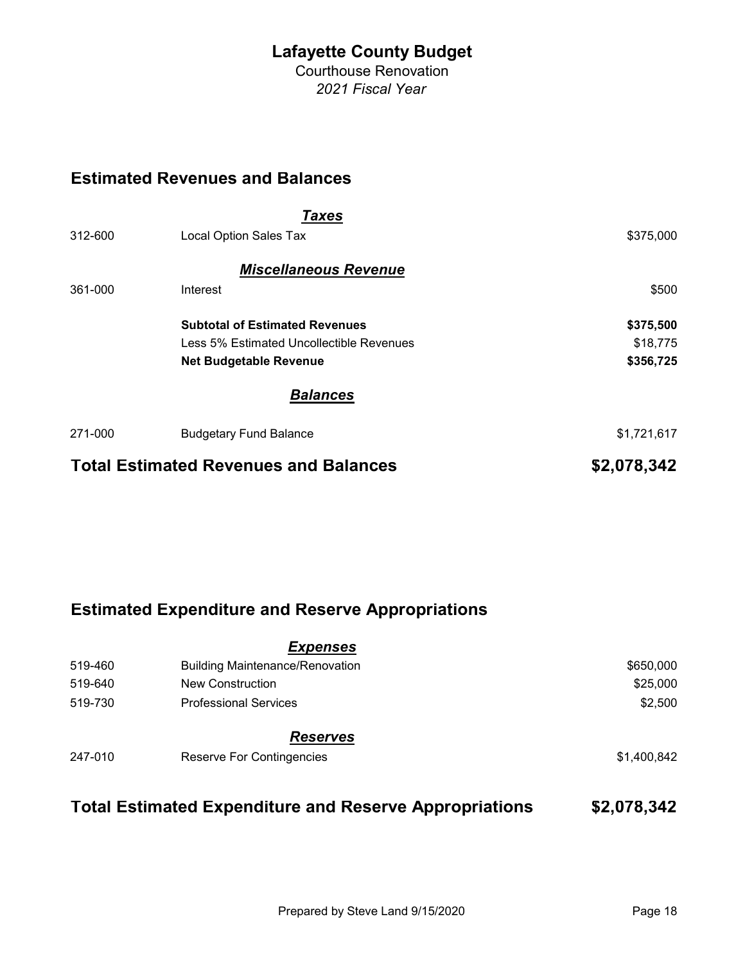Courthouse Renovation 2021 Fiscal Year

# Estimated Revenues and Balances

|         | Taxes                                        |             |
|---------|----------------------------------------------|-------------|
| 312-600 | Local Option Sales Tax                       | \$375,000   |
|         | <b>Miscellaneous Revenue</b>                 |             |
| 361-000 | Interest                                     | \$500       |
|         | <b>Subtotal of Estimated Revenues</b>        | \$375,500   |
|         | Less 5% Estimated Uncollectible Revenues     | \$18,775    |
|         | <b>Net Budgetable Revenue</b>                | \$356,725   |
|         | <b>Balances</b>                              |             |
| 271-000 | <b>Budgetary Fund Balance</b>                | \$1,721,617 |
|         | <b>Total Estimated Revenues and Balances</b> | \$2,078,342 |

## Estimated Expenditure and Reserve Appropriations

|         | <b>Expenses</b>                        |             |
|---------|----------------------------------------|-------------|
| 519-460 | <b>Building Maintenance/Renovation</b> | \$650,000   |
| 519-640 | <b>New Construction</b>                | \$25,000    |
| 519-730 | <b>Professional Services</b>           | \$2,500     |
|         | <b>Reserves</b>                        |             |
| 247-010 | <b>Reserve For Contingencies</b>       | \$1,400,842 |

## Total Estimated Expenditure and Reserve Appropriations \$2,078,342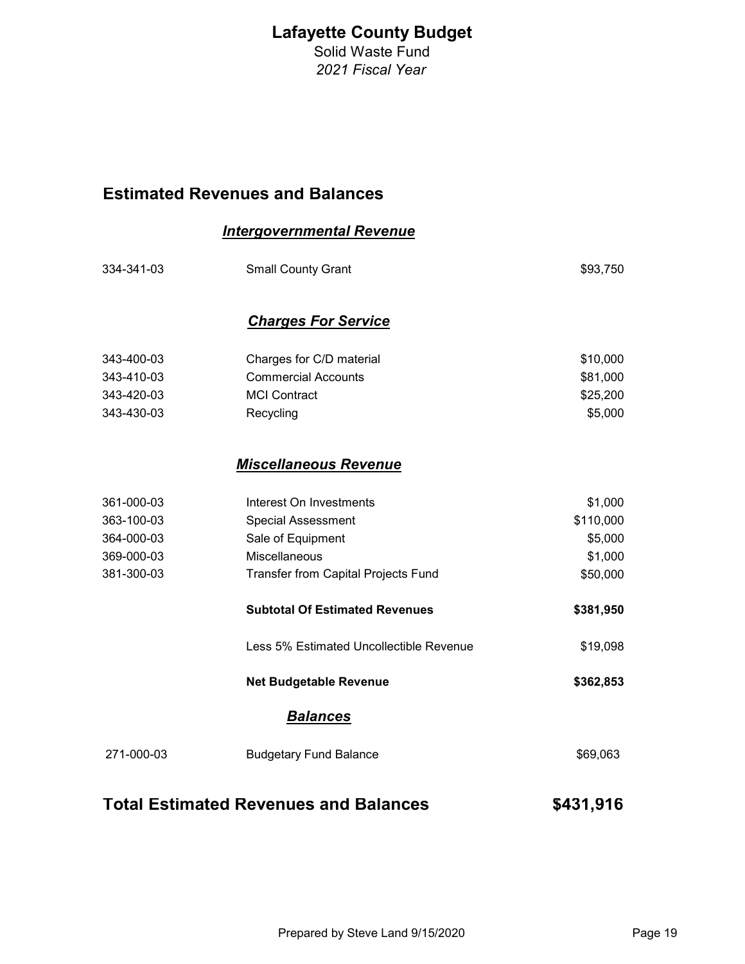Solid Waste Fund 2021 Fiscal Year

## Estimated Revenues and Balances

#### Intergovernmental Revenue

| 334-341-03                                   | <b>Small County Grant</b>               | \$93,750  |
|----------------------------------------------|-----------------------------------------|-----------|
|                                              | <b>Charges For Service</b>              |           |
| 343-400-03                                   | Charges for C/D material                | \$10,000  |
| 343-410-03                                   | <b>Commercial Accounts</b>              | \$81,000  |
| 343-420-03                                   | <b>MCI Contract</b>                     | \$25,200  |
| 343-430-03                                   | Recycling                               | \$5,000   |
|                                              | <b>Miscellaneous Revenue</b>            |           |
| 361-000-03                                   | Interest On Investments                 | \$1,000   |
| 363-100-03                                   | <b>Special Assessment</b>               | \$110,000 |
| 364-000-03                                   | Sale of Equipment                       | \$5,000   |
| 369-000-03                                   | Miscellaneous                           | \$1,000   |
| 381-300-03                                   | Transfer from Capital Projects Fund     | \$50,000  |
|                                              | <b>Subtotal Of Estimated Revenues</b>   | \$381,950 |
|                                              | Less 5% Estimated Uncollectible Revenue | \$19,098  |
|                                              | <b>Net Budgetable Revenue</b>           | \$362,853 |
|                                              | <b>Balances</b>                         |           |
| 271-000-03                                   | <b>Budgetary Fund Balance</b>           | \$69,063  |
| <b>Total Estimated Revenues and Balances</b> |                                         | \$431,916 |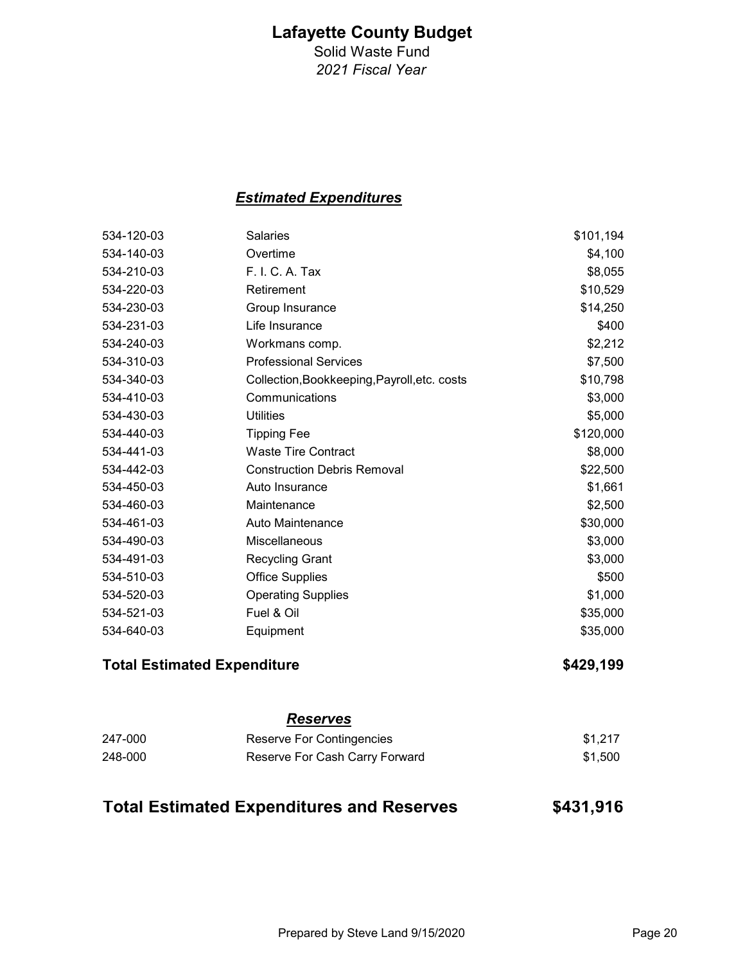Solid Waste Fund 2021 Fiscal Year

### Estimated Expenditures

| 534-120-03 | <b>Salaries</b>                              | \$101,194 |
|------------|----------------------------------------------|-----------|
| 534-140-03 | Overtime                                     | \$4,100   |
| 534-210-03 | F. I. C. A. Tax                              | \$8,055   |
| 534-220-03 | Retirement                                   | \$10,529  |
| 534-230-03 | Group Insurance                              | \$14,250  |
| 534-231-03 | Life Insurance                               | \$400     |
| 534-240-03 | Workmans comp.                               | \$2,212   |
| 534-310-03 | <b>Professional Services</b>                 | \$7,500   |
| 534-340-03 | Collection, Bookkeeping, Payroll, etc. costs | \$10,798  |
| 534-410-03 | Communications                               | \$3,000   |
| 534-430-03 | <b>Utilities</b>                             | \$5,000   |
| 534-440-03 | <b>Tipping Fee</b>                           | \$120,000 |
| 534-441-03 | <b>Waste Tire Contract</b>                   | \$8,000   |
| 534-442-03 | <b>Construction Debris Removal</b>           | \$22,500  |
| 534-450-03 | Auto Insurance                               | \$1,661   |
| 534-460-03 | Maintenance                                  | \$2,500   |
| 534-461-03 | Auto Maintenance                             | \$30,000  |
| 534-490-03 | Miscellaneous                                | \$3,000   |
| 534-491-03 | <b>Recycling Grant</b>                       | \$3,000   |
| 534-510-03 | <b>Office Supplies</b>                       | \$500     |
| 534-520-03 | <b>Operating Supplies</b>                    | \$1,000   |
| 534-521-03 | Fuel & Oil                                   | \$35,000  |
| 534-640-03 | Equipment                                    | \$35,000  |
|            | <b>Total Estimated Expenditure</b>           | \$429,199 |
|            | <b>Reserves</b>                              |           |

| 247-000 | Reserve For Contingencies      | \$1.217 |
|---------|--------------------------------|---------|
| 248-000 | Reserve For Cash Carry Forward | \$1,500 |

| <b>Total Estimated Expenditures and Reserves</b> | \$431,916 |
|--------------------------------------------------|-----------|
|--------------------------------------------------|-----------|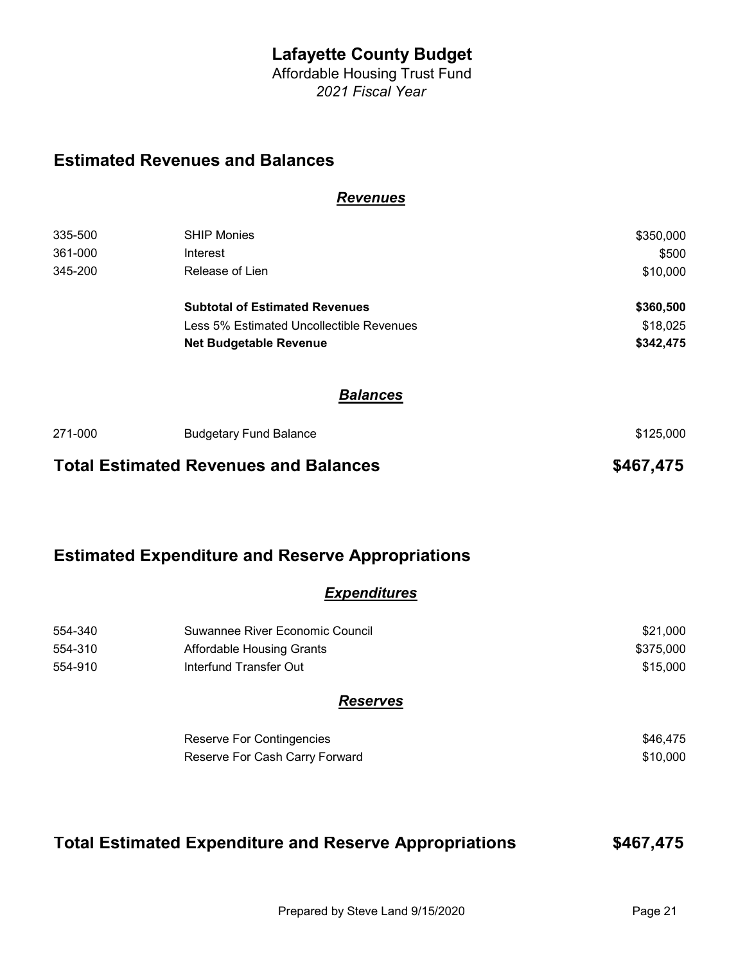Affordable Housing Trust Fund 2021 Fiscal Year

Revenues

### Estimated Revenues and Balances

| 335-500<br>361-000 | <b>SHIP Monies</b><br>Interest                                                    | \$350,000<br>\$500    |
|--------------------|-----------------------------------------------------------------------------------|-----------------------|
| 345-200            | Release of Lien                                                                   | \$10,000              |
|                    | <b>Subtotal of Estimated Revenues</b><br>Less 5% Estimated Uncollectible Revenues | \$360,500<br>\$18,025 |
|                    | <b>Net Budgetable Revenue</b>                                                     | \$342,475             |
|                    | <b>Balances</b>                                                                   |                       |
| 271-000            | <b>Budgetary Fund Balance</b>                                                     | \$125,000             |
|                    | <b>Total Estimated Revenues and Balances</b>                                      | \$467,475             |

### Estimated Expenditure and Reserve Appropriations

### **Expenditures**

| 554-340 | Suwannee River Economic Council | \$21,000  |
|---------|---------------------------------|-----------|
| 554-310 | Affordable Housing Grants       | \$375,000 |
| 554-910 | Interfund Transfer Out          | \$15,000  |

#### **Reserves**

| Reserve For Contingencies      | \$46.475 |
|--------------------------------|----------|
| Reserve For Cash Carry Forward | \$10.000 |

### Total Estimated Expenditure and Reserve Appropriations \$467,475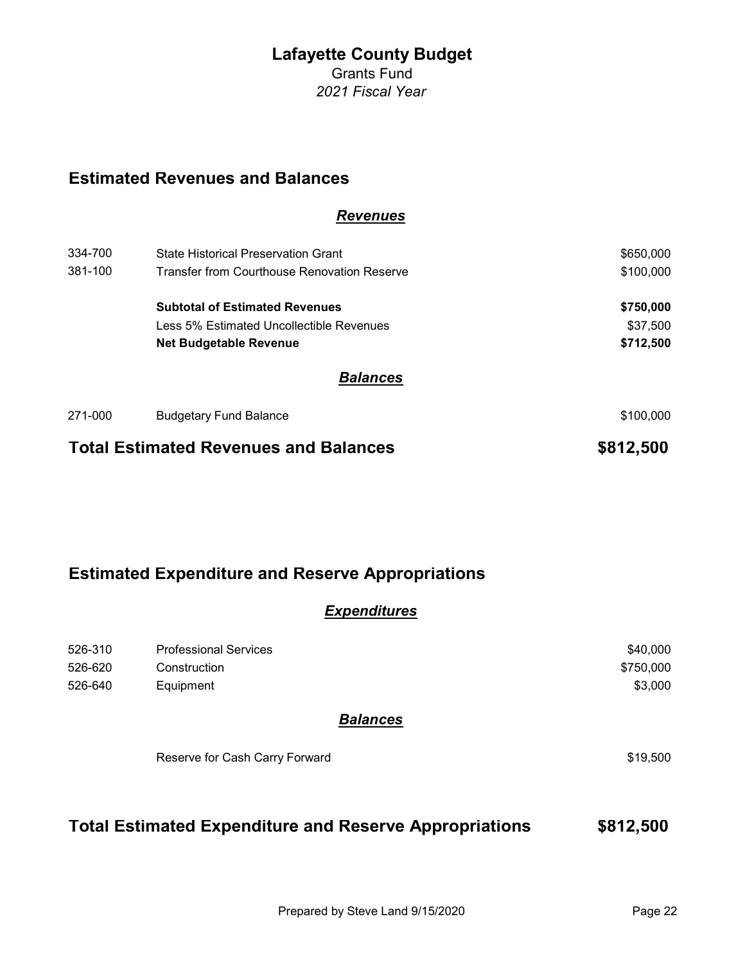Grants Fund 2021 Fiscal Year

## Estimated Revenues and Balances

#### **Revenues**

| 334-700                                      | State Historical Preservation Grant         | \$650,000 |
|----------------------------------------------|---------------------------------------------|-----------|
| 381-100                                      | Transfer from Courthouse Renovation Reserve | \$100,000 |
|                                              | <b>Subtotal of Estimated Revenues</b>       | \$750,000 |
|                                              | Less 5% Estimated Uncollectible Revenues    | \$37,500  |
|                                              | <b>Net Budgetable Revenue</b>               | \$712,500 |
|                                              | <b>Balances</b>                             |           |
| 271-000                                      | <b>Budgetary Fund Balance</b>               | \$100,000 |
| <b>Total Estimated Revenues and Balances</b> |                                             | \$812,500 |

## Estimated Expenditure and Reserve Appropriations

### **Expenditures**

| 526-310 | <b>Professional Services</b>                                  | \$40,000  |
|---------|---------------------------------------------------------------|-----------|
| 526-620 | Construction                                                  | \$750,000 |
| 526-640 | Equipment                                                     | \$3,000   |
|         | <b>Balances</b>                                               |           |
|         | Reserve for Cash Carry Forward                                | \$19,500  |
|         | <b>Total Estimated Expenditure and Reserve Appropriations</b> | \$812,500 |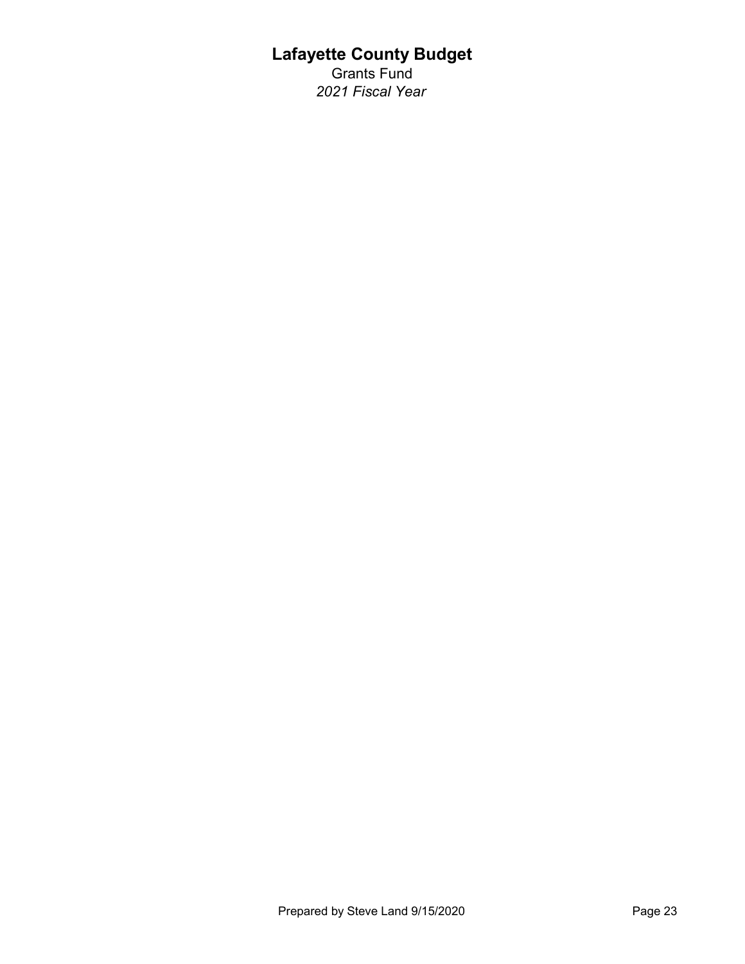Grants Fund 2021 Fiscal Year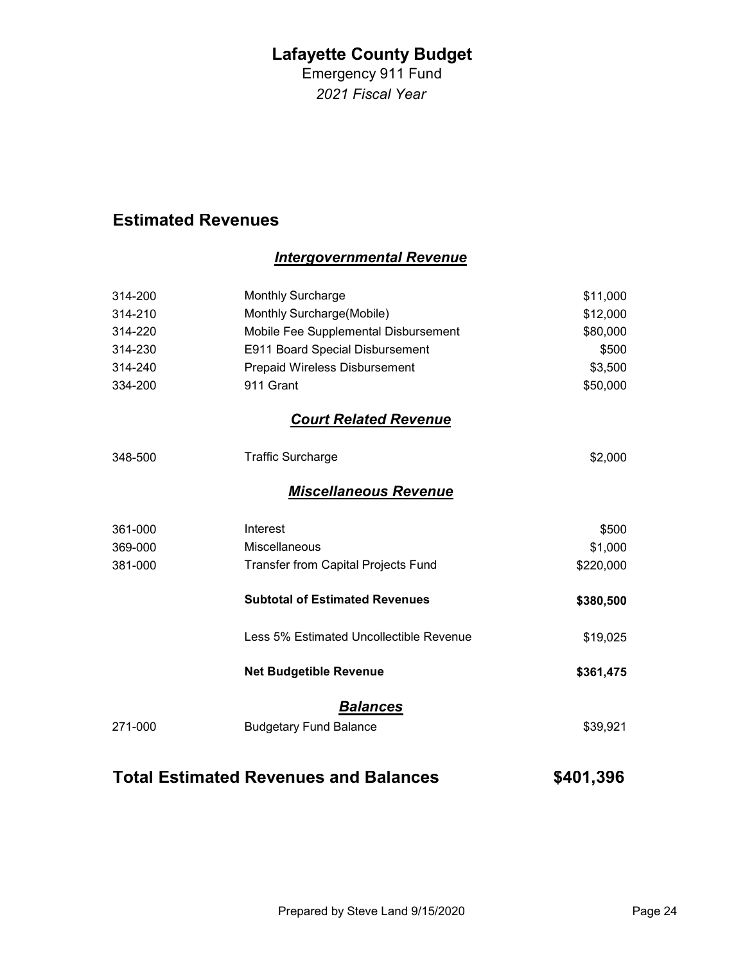Emergency 911 Fund 2021 Fiscal Year

## Estimated Revenues

### Intergovernmental Revenue

| 314-200 | <b>Monthly Surcharge</b>                | \$11,000  |
|---------|-----------------------------------------|-----------|
| 314-210 | Monthly Surcharge(Mobile)               | \$12,000  |
| 314-220 | Mobile Fee Supplemental Disbursement    | \$80,000  |
| 314-230 | E911 Board Special Disbursement         | \$500     |
| 314-240 | Prepaid Wireless Disbursement           | \$3,500   |
| 334-200 | 911 Grant                               | \$50,000  |
|         | <b>Court Related Revenue</b>            |           |
| 348-500 | <b>Traffic Surcharge</b>                | \$2,000   |
|         | <b>Miscellaneous Revenue</b>            |           |
| 361-000 | Interest                                | \$500     |
| 369-000 | Miscellaneous                           | \$1,000   |
| 381-000 | Transfer from Capital Projects Fund     | \$220,000 |
|         | <b>Subtotal of Estimated Revenues</b>   | \$380,500 |
|         | Less 5% Estimated Uncollectible Revenue | \$19,025  |
|         | <b>Net Budgetible Revenue</b>           | \$361,475 |
|         | <b>Balances</b>                         |           |
| 271-000 | <b>Budgetary Fund Balance</b>           | \$39,921  |
|         |                                         |           |

# Total Estimated Revenues and Balances **\$401,396**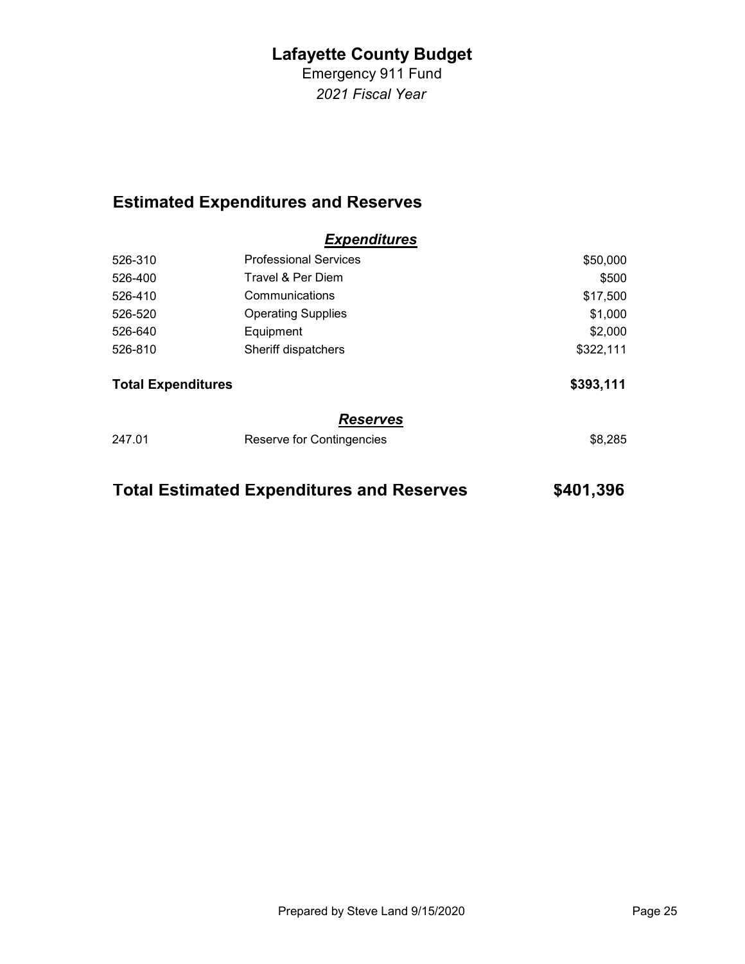Emergency 911 Fund 2021 Fiscal Year

# Estimated Expenditures and Reserves

|                           | <b>Expenditures</b>          |           |
|---------------------------|------------------------------|-----------|
| 526-310                   | <b>Professional Services</b> | \$50,000  |
| 526-400                   | Travel & Per Diem            | \$500     |
| 526-410                   | Communications               | \$17,500  |
| 526-520                   | <b>Operating Supplies</b>    | \$1,000   |
| 526-640                   | Equipment                    | \$2,000   |
| 526-810                   | Sheriff dispatchers          | \$322,111 |
| <b>Total Expenditures</b> |                              | \$393,111 |
|                           | <b>Reserves</b>              |           |
| 247.01                    | Reserve for Contingencies    | \$8,285   |
|                           |                              |           |

| \$401,396<br><b>Total Estimated Expenditures and Reserves</b> |  |
|---------------------------------------------------------------|--|
|---------------------------------------------------------------|--|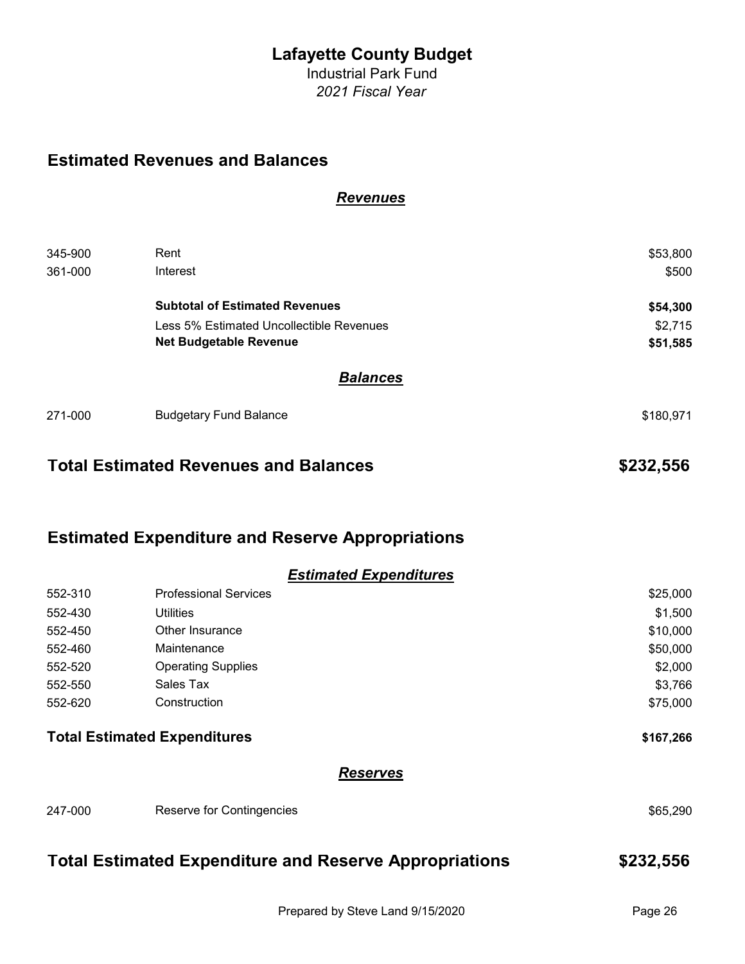Industrial Park Fund 2021 Fiscal Year

### Estimated Revenues and Balances

#### **Revenues**

| 345-900 | Rent                                     | \$53,800  |
|---------|------------------------------------------|-----------|
| 361-000 | Interest                                 | \$500     |
|         | <b>Subtotal of Estimated Revenues</b>    | \$54,300  |
|         | Less 5% Estimated Uncollectible Revenues | \$2,715   |
|         | <b>Net Budgetable Revenue</b>            | \$51,585  |
|         | <b>Balances</b>                          |           |
| 271-000 | <b>Budgetary Fund Balance</b>            | \$180,971 |
|         |                                          |           |

## Total Estimated Revenues and Balances **\$232,556** \$232,556

### Estimated Expenditure and Reserve Appropriations

|         | <b>Estimated Expenditures</b>       |           |
|---------|-------------------------------------|-----------|
| 552-310 | <b>Professional Services</b>        | \$25,000  |
| 552-430 | <b>Utilities</b>                    | \$1,500   |
| 552-450 | Other Insurance                     | \$10,000  |
| 552-460 | Maintenance                         | \$50,000  |
| 552-520 | <b>Operating Supplies</b>           | \$2,000   |
| 552-550 | Sales Tax                           | \$3,766   |
| 552-620 | Construction                        | \$75,000  |
|         | <b>Total Estimated Expenditures</b> | \$167,266 |
|         | <b>Reserves</b>                     |           |
| 247-000 | Reserve for Contingencies           | \$65,290  |
|         |                                     |           |